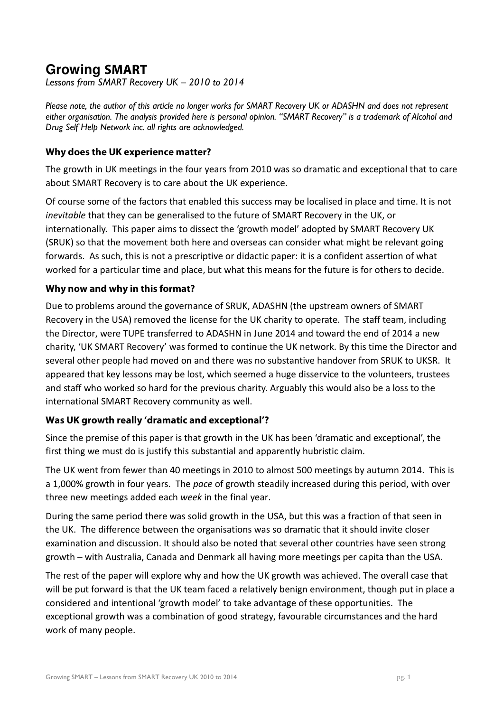# **Growing SMART**

Lessons from SMART Recovery UK – 2010 to 2014

Please note, the author of this article no longer works for SMART Recovery UK or ADASHN and does not represent either organisation. The analysis provided here is personal opinion. "SMART Recovery" is a trademark of Alcohol and Drug Self Help Network inc. all rights are acknowledged.

### **Why does the UK experience matter?**

The growth in UK meetings in the four years from 2010 was so dramatic and exceptional that to care about SMART Recovery is to care about the UK experience.

Of course some of the factors that enabled this success may be localised in place and time. It is not inevitable that they can be generalised to the future of SMART Recovery in the UK, or internationally. This paper aims to dissect the 'growth model' adopted by SMART Recovery UK (SRUK) so that the movement both here and overseas can consider what might be relevant going forwards. As such, this is not a prescriptive or didactic paper: it is a confident assertion of what worked for a particular time and place, but what this means for the future is for others to decide.

### **Why now and why in this format?**

Due to problems around the governance of SRUK, ADASHN (the upstream owners of SMART Recovery in the USA) removed the license for the UK charity to operate. The staff team, including the Director, were TUPE transferred to ADASHN in June 2014 and toward the end of 2014 a new charity, 'UK SMART Recovery' was formed to continue the UK network. By this time the Director and several other people had moved on and there was no substantive handover from SRUK to UKSR. It appeared that key lessons may be lost, which seemed a huge disservice to the volunteers, trustees and staff who worked so hard for the previous charity. Arguably this would also be a loss to the international SMART Recovery community as well.

## **Was UK growth really 'dramatic and exceptional'?**

Since the premise of this paper is that growth in the UK has been 'dramatic and exceptional', the first thing we must do is justify this substantial and apparently hubristic claim.

The UK went from fewer than 40 meetings in 2010 to almost 500 meetings by autumn 2014. This is a 1,000% growth in four years. The pace of growth steadily increased during this period, with over three new meetings added each week in the final year.

During the same period there was solid growth in the USA, but this was a fraction of that seen in the UK. The difference between the organisations was so dramatic that it should invite closer examination and discussion. It should also be noted that several other countries have seen strong growth – with Australia, Canada and Denmark all having more meetings per capita than the USA.

The rest of the paper will explore why and how the UK growth was achieved. The overall case that will be put forward is that the UK team faced a relatively benign environment, though put in place a considered and intentional 'growth model' to take advantage of these opportunities. The exceptional growth was a combination of good strategy, favourable circumstances and the hard work of many people.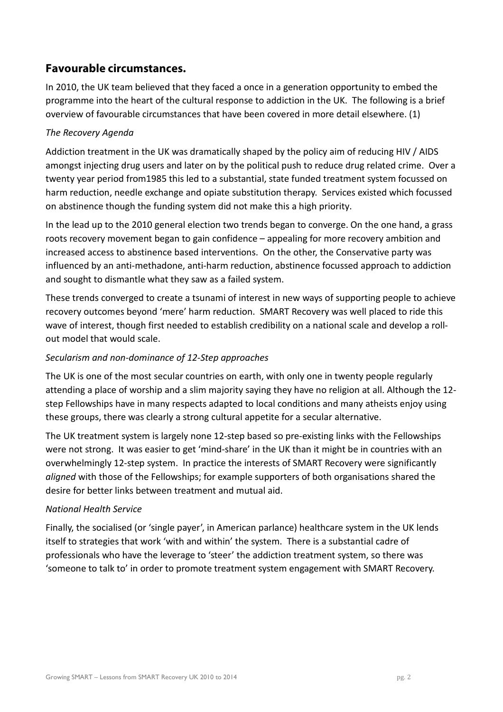# **Favourable circumstances.**

In 2010, the UK team believed that they faced a once in a generation opportunity to embed the programme into the heart of the cultural response to addiction in the UK. The following is a brief overview of favourable circumstances that have been covered in more detail elsewhere. (1)

# The Recovery Agenda

Addiction treatment in the UK was dramatically shaped by the policy aim of reducing HIV / AIDS amongst injecting drug users and later on by the political push to reduce drug related crime. Over a twenty year period from1985 this led to a substantial, state funded treatment system focussed on harm reduction, needle exchange and opiate substitution therapy. Services existed which focussed on abstinence though the funding system did not make this a high priority.

In the lead up to the 2010 general election two trends began to converge. On the one hand, a grass roots recovery movement began to gain confidence – appealing for more recovery ambition and increased access to abstinence based interventions. On the other, the Conservative party was influenced by an anti-methadone, anti-harm reduction, abstinence focussed approach to addiction and sought to dismantle what they saw as a failed system.

These trends converged to create a tsunami of interest in new ways of supporting people to achieve recovery outcomes beyond 'mere' harm reduction. SMART Recovery was well placed to ride this wave of interest, though first needed to establish credibility on a national scale and develop a rollout model that would scale.

## Secularism and non-dominance of 12-Step approaches

The UK is one of the most secular countries on earth, with only one in twenty people regularly attending a place of worship and a slim majority saying they have no religion at all. Although the 12 step Fellowships have in many respects adapted to local conditions and many atheists enjoy using these groups, there was clearly a strong cultural appetite for a secular alternative.

The UK treatment system is largely none 12-step based so pre-existing links with the Fellowships were not strong. It was easier to get 'mind-share' in the UK than it might be in countries with an overwhelmingly 12-step system. In practice the interests of SMART Recovery were significantly aligned with those of the Fellowships; for example supporters of both organisations shared the desire for better links between treatment and mutual aid.

## National Health Service

Finally, the socialised (or 'single payer', in American parlance) healthcare system in the UK lends itself to strategies that work 'with and within' the system. There is a substantial cadre of professionals who have the leverage to 'steer' the addiction treatment system, so there was 'someone to talk to' in order to promote treatment system engagement with SMART Recovery.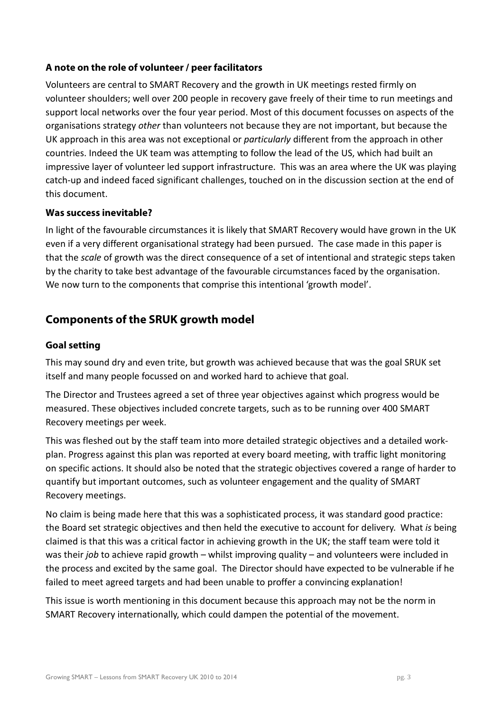# **A note on the role of volunteer / peer facilitators**

Volunteers are central to SMART Recovery and the growth in UK meetings rested firmly on volunteer shoulders; well over 200 people in recovery gave freely of their time to run meetings and support local networks over the four year period. Most of this document focusses on aspects of the organisations strategy other than volunteers not because they are not important, but because the UK approach in this area was not exceptional or *particularly* different from the approach in other countries. Indeed the UK team was attempting to follow the lead of the US, which had built an impressive layer of volunteer led support infrastructure. This was an area where the UK was playing catch-up and indeed faced significant challenges, touched on in the discussion section at the end of this document.

## **Was success inevitable?**

In light of the favourable circumstances it is likely that SMART Recovery would have grown in the UK even if a very different organisational strategy had been pursued. The case made in this paper is that the scale of growth was the direct consequence of a set of intentional and strategic steps taken by the charity to take best advantage of the favourable circumstances faced by the organisation. We now turn to the components that comprise this intentional 'growth model'.

# **Components of the SRUK growth model**

### **Goal setting**

This may sound dry and even trite, but growth was achieved because that was the goal SRUK set itself and many people focussed on and worked hard to achieve that goal.

The Director and Trustees agreed a set of three year objectives against which progress would be measured. These objectives included concrete targets, such as to be running over 400 SMART Recovery meetings per week.

This was fleshed out by the staff team into more detailed strategic objectives and a detailed workplan. Progress against this plan was reported at every board meeting, with traffic light monitoring on specific actions. It should also be noted that the strategic objectives covered a range of harder to quantify but important outcomes, such as volunteer engagement and the quality of SMART Recovery meetings.

No claim is being made here that this was a sophisticated process, it was standard good practice: the Board set strategic objectives and then held the executive to account for delivery. What is being claimed is that this was a critical factor in achieving growth in the UK; the staff team were told it was their *job* to achieve rapid growth – whilst improving quality – and volunteers were included in the process and excited by the same goal. The Director should have expected to be vulnerable if he failed to meet agreed targets and had been unable to proffer a convincing explanation!

This issue is worth mentioning in this document because this approach may not be the norm in SMART Recovery internationally, which could dampen the potential of the movement.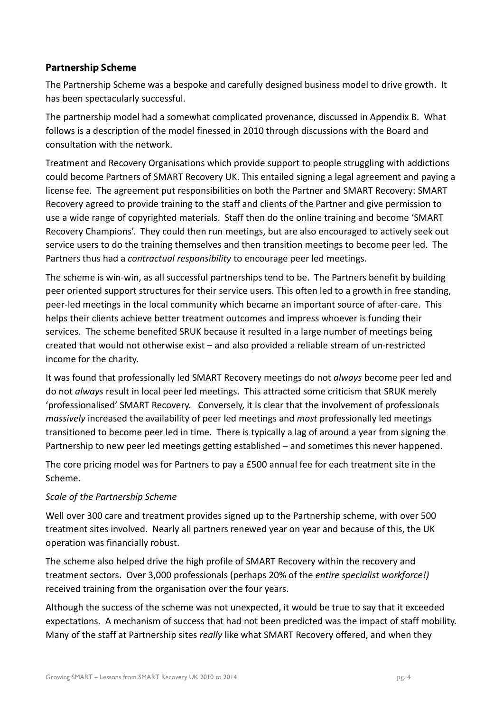# **Partnership Scheme**

The Partnership Scheme was a bespoke and carefully designed business model to drive growth. It has been spectacularly successful.

The partnership model had a somewhat complicated provenance, discussed in Appendix B. What follows is a description of the model finessed in 2010 through discussions with the Board and consultation with the network.

Treatment and Recovery Organisations which provide support to people struggling with addictions could become Partners of SMART Recovery UK. This entailed signing a legal agreement and paying a license fee. The agreement put responsibilities on both the Partner and SMART Recovery: SMART Recovery agreed to provide training to the staff and clients of the Partner and give permission to use a wide range of copyrighted materials. Staff then do the online training and become 'SMART Recovery Champions'. They could then run meetings, but are also encouraged to actively seek out service users to do the training themselves and then transition meetings to become peer led. The Partners thus had a *contractual responsibility* to encourage peer led meetings.

The scheme is win-win, as all successful partnerships tend to be. The Partners benefit by building peer oriented support structures for their service users. This often led to a growth in free standing, peer-led meetings in the local community which became an important source of after-care. This helps their clients achieve better treatment outcomes and impress whoever is funding their services. The scheme benefited SRUK because it resulted in a large number of meetings being created that would not otherwise exist – and also provided a reliable stream of un-restricted income for the charity.

It was found that professionally led SMART Recovery meetings do not always become peer led and do not always result in local peer led meetings. This attracted some criticism that SRUK merely 'professionalised' SMART Recovery. Conversely, it is clear that the involvement of professionals massively increased the availability of peer led meetings and most professionally led meetings transitioned to become peer led in time. There is typically a lag of around a year from signing the Partnership to new peer led meetings getting established – and sometimes this never happened.

The core pricing model was for Partners to pay a £500 annual fee for each treatment site in the Scheme.

## Scale of the Partnership Scheme

Well over 300 care and treatment provides signed up to the Partnership scheme, with over 500 treatment sites involved. Nearly all partners renewed year on year and because of this, the UK operation was financially robust.

The scheme also helped drive the high profile of SMART Recovery within the recovery and treatment sectors. Over 3,000 professionals (perhaps 20% of the entire specialist workforce!) received training from the organisation over the four years.

Although the success of the scheme was not unexpected, it would be true to say that it exceeded expectations. A mechanism of success that had not been predicted was the impact of staff mobility. Many of the staff at Partnership sites really like what SMART Recovery offered, and when they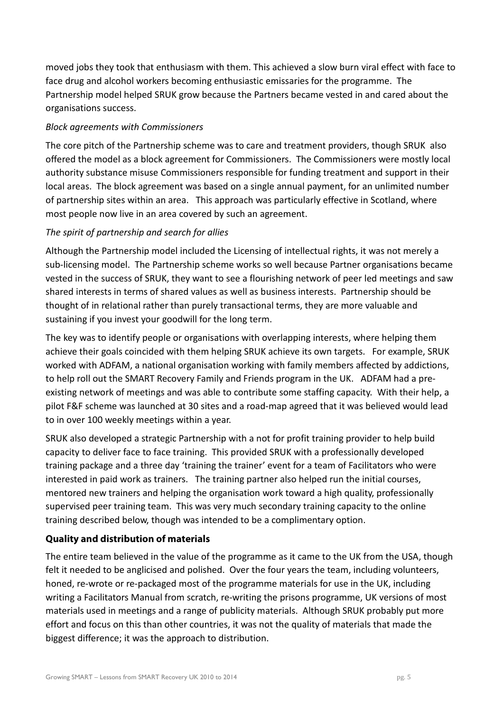moved jobs they took that enthusiasm with them. This achieved a slow burn viral effect with face to face drug and alcohol workers becoming enthusiastic emissaries for the programme. The Partnership model helped SRUK grow because the Partners became vested in and cared about the organisations success.

## Block agreements with Commissioners

The core pitch of the Partnership scheme was to care and treatment providers, though SRUK also offered the model as a block agreement for Commissioners. The Commissioners were mostly local authority substance misuse Commissioners responsible for funding treatment and support in their local areas. The block agreement was based on a single annual payment, for an unlimited number of partnership sites within an area. This approach was particularly effective in Scotland, where most people now live in an area covered by such an agreement.

# The spirit of partnership and search for allies

Although the Partnership model included the Licensing of intellectual rights, it was not merely a sub-licensing model. The Partnership scheme works so well because Partner organisations became vested in the success of SRUK, they want to see a flourishing network of peer led meetings and saw shared interests in terms of shared values as well as business interests. Partnership should be thought of in relational rather than purely transactional terms, they are more valuable and sustaining if you invest your goodwill for the long term.

The key was to identify people or organisations with overlapping interests, where helping them achieve their goals coincided with them helping SRUK achieve its own targets. For example, SRUK worked with ADFAM, a national organisation working with family members affected by addictions, to help roll out the SMART Recovery Family and Friends program in the UK. ADFAM had a preexisting network of meetings and was able to contribute some staffing capacity. With their help, a pilot F&F scheme was launched at 30 sites and a road-map agreed that it was believed would lead to in over 100 weekly meetings within a year.

SRUK also developed a strategic Partnership with a not for profit training provider to help build capacity to deliver face to face training. This provided SRUK with a professionally developed training package and a three day 'training the trainer' event for a team of Facilitators who were interested in paid work as trainers. The training partner also helped run the initial courses, mentored new trainers and helping the organisation work toward a high quality, professionally supervised peer training team. This was very much secondary training capacity to the online training described below, though was intended to be a complimentary option.

# **Quality and distribution of materials**

The entire team believed in the value of the programme as it came to the UK from the USA, though felt it needed to be anglicised and polished. Over the four years the team, including volunteers, honed, re-wrote or re-packaged most of the programme materials for use in the UK, including writing a Facilitators Manual from scratch, re-writing the prisons programme, UK versions of most materials used in meetings and a range of publicity materials. Although SRUK probably put more effort and focus on this than other countries, it was not the quality of materials that made the biggest difference; it was the approach to distribution.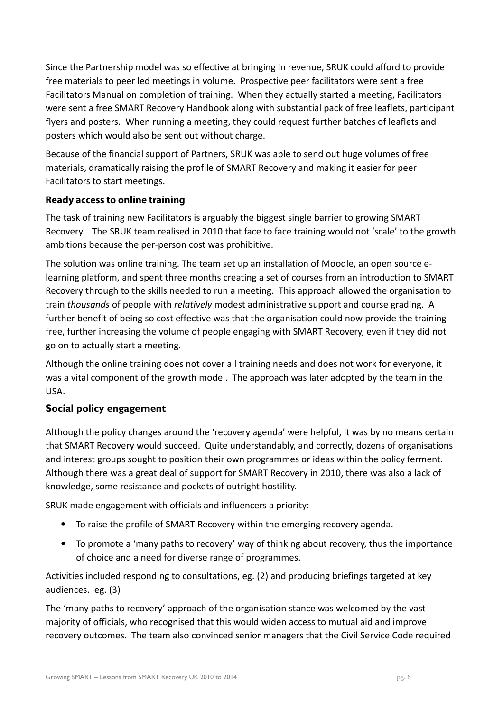Since the Partnership model was so effective at bringing in revenue, SRUK could afford to provide free materials to peer led meetings in volume. Prospective peer facilitators were sent a free Facilitators Manual on completion of training. When they actually started a meeting, Facilitators were sent a free SMART Recovery Handbook along with substantial pack of free leaflets, participant flyers and posters. When running a meeting, they could request further batches of leaflets and posters which would also be sent out without charge.

Because of the financial support of Partners, SRUK was able to send out huge volumes of free materials, dramatically raising the profile of SMART Recovery and making it easier for peer Facilitators to start meetings.

# **Ready access to online training**

The task of training new Facilitators is arguably the biggest single barrier to growing SMART Recovery. The SRUK team realised in 2010 that face to face training would not 'scale' to the growth ambitions because the per-person cost was prohibitive.

The solution was online training. The team set up an installation of Moodle, an open source elearning platform, and spent three months creating a set of courses from an introduction to SMART Recovery through to the skills needed to run a meeting. This approach allowed the organisation to train thousands of people with relatively modest administrative support and course grading. A further benefit of being so cost effective was that the organisation could now provide the training free, further increasing the volume of people engaging with SMART Recovery, even if they did not go on to actually start a meeting.

Although the online training does not cover all training needs and does not work for everyone, it was a vital component of the growth model. The approach was later adopted by the team in the USA.

# Social policy engagement

Although the policy changes around the 'recovery agenda' were helpful, it was by no means certain that SMART Recovery would succeed. Quite understandably, and correctly, dozens of organisations and interest groups sought to position their own programmes or ideas within the policy ferment. Although there was a great deal of support for SMART Recovery in 2010, there was also a lack of knowledge, some resistance and pockets of outright hostility.

SRUK made engagement with officials and influencers a priority:

- To raise the profile of SMART Recovery within the emerging recovery agenda.
- To promote a 'many paths to recovery' way of thinking about recovery, thus the importance of choice and a need for diverse range of programmes.

Activities included responding to consultations, eg. (2) and producing briefings targeted at key audiences. eg. (3)

The 'many paths to recovery' approach of the organisation stance was welcomed by the vast majority of officials, who recognised that this would widen access to mutual aid and improve recovery outcomes. The team also convinced senior managers that the Civil Service Code required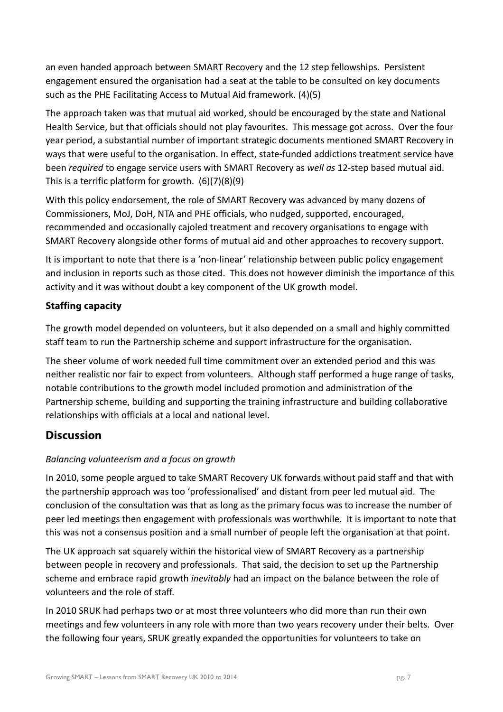an even handed approach between SMART Recovery and the 12 step fellowships. Persistent engagement ensured the organisation had a seat at the table to be consulted on key documents such as the PHE Facilitating Access to Mutual Aid framework. (4)(5)

The approach taken was that mutual aid worked, should be encouraged by the state and National Health Service, but that officials should not play favourites. This message got across. Over the four year period, a substantial number of important strategic documents mentioned SMART Recovery in ways that were useful to the organisation. In effect, state-funded addictions treatment service have been *required* to engage service users with SMART Recovery as *well as* 12-step based mutual aid. This is a terrific platform for growth. (6)(7)(8)(9)

With this policy endorsement, the role of SMART Recovery was advanced by many dozens of Commissioners, MoJ, DoH, NTA and PHE officials, who nudged, supported, encouraged, recommended and occasionally cajoled treatment and recovery organisations to engage with SMART Recovery alongside other forms of mutual aid and other approaches to recovery support.

It is important to note that there is a 'non-linear' relationship between public policy engagement and inclusion in reports such as those cited. This does not however diminish the importance of this activity and it was without doubt a key component of the UK growth model.

# **Staffing capacity**

The growth model depended on volunteers, but it also depended on a small and highly committed staff team to run the Partnership scheme and support infrastructure for the organisation.

The sheer volume of work needed full time commitment over an extended period and this was neither realistic nor fair to expect from volunteers. Although staff performed a huge range of tasks, notable contributions to the growth model included promotion and administration of the Partnership scheme, building and supporting the training infrastructure and building collaborative relationships with officials at a local and national level.

# **Discussion**

# Balancing volunteerism and a focus on growth

In 2010, some people argued to take SMART Recovery UK forwards without paid staff and that with the partnership approach was too 'professionalised' and distant from peer led mutual aid. The conclusion of the consultation was that as long as the primary focus was to increase the number of peer led meetings then engagement with professionals was worthwhile. It is important to note that this was not a consensus position and a small number of people left the organisation at that point.

The UK approach sat squarely within the historical view of SMART Recovery as a partnership between people in recovery and professionals. That said, the decision to set up the Partnership scheme and embrace rapid growth *inevitably* had an impact on the balance between the role of volunteers and the role of staff.

In 2010 SRUK had perhaps two or at most three volunteers who did more than run their own meetings and few volunteers in any role with more than two years recovery under their belts. Over the following four years, SRUK greatly expanded the opportunities for volunteers to take on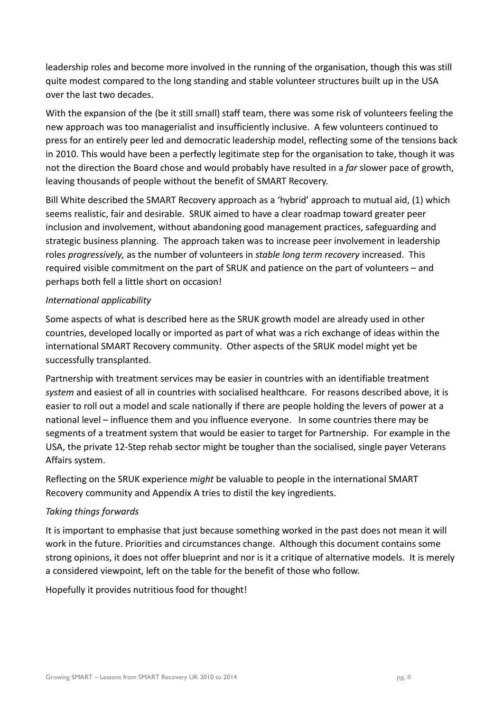leadership roles and become more involved in the running of the organisation, though this was still quite modest compared to the long standing and stable volunteer structures built up in the USA over the last two decades.

With the expansion of the (be it still small) staff team, there was some risk of volunteers feeling the new approach was too managerialist and insufficiently inclusive. A few volunteers continued to press for an entirely peer led and democratic leadership model, reflecting some of the tensions back in 2010. This would have been a perfectly legitimate step for the organisation to take, though it was not the direction the Board chose and would probably have resulted in a far slower pace of growth, leaving thousands of people without the benefit of SMART Recovery.

Bill White described the SMART Recovery approach as a 'hybrid' approach to mutual aid, (1) which seems realistic, fair and desirable. SRUK aimed to have a clear roadmap toward greater peer inclusion and involvement, without abandoning good management practices, safeguarding and strategic business planning. The approach taken was to increase peer involvement in leadership roles progressively, as the number of volunteers in *stable long term recovery* increased. This required visible commitment on the part of SRUK and patience on the part of volunteers – and perhaps both fell a little short on occasion!

### International applicability

Some aspects of what is described here as the SRUK growth model are already used in other countries, developed locally or imported as part of what was a rich exchange of ideas within the international SMART Recovery community. Other aspects of the SRUK model might yet be successfully transplanted.

Partnership with treatment services may be easier in countries with an identifiable treatment system and easiest of all in countries with socialised healthcare. For reasons described above, it is easier to roll out a model and scale nationally if there are people holding the levers of power at a national level – influence them and you influence everyone. In some countries there may be segments of a treatment system that would be easier to target for Partnership. For example in the USA, the private 12-Step rehab sector might be tougher than the socialised, single payer Veterans Affairs system.

Reflecting on the SRUK experience might be valuable to people in the international SMART Recovery community and Appendix A tries to distil the key ingredients.

## Taking things forwards

It is important to emphasise that just because something worked in the past does not mean it will work in the future. Priorities and circumstances change. Although this document contains some strong opinions, it does not offer blueprint and nor is it a critique of alternative models. It is merely a considered viewpoint, left on the table for the benefit of those who follow.

Hopefully it provides nutritious food for thought!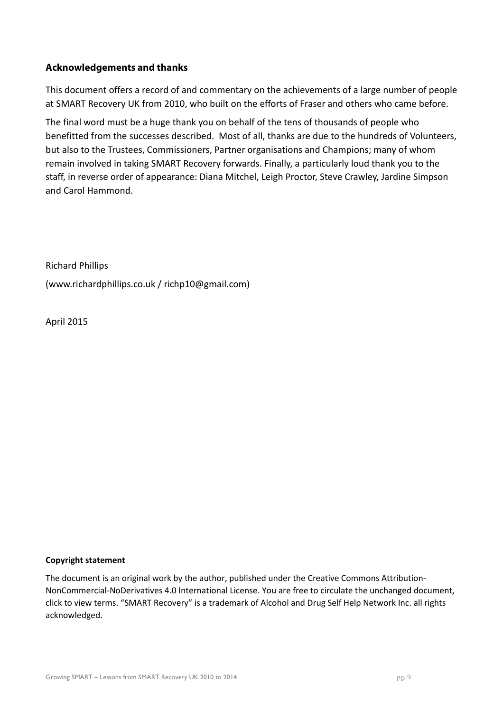### **Acknowledgements and thanks**

This document offers a record of and commentary on the achievements of a large number of people at SMART Recovery UK from 2010, who built on the efforts of Fraser and others who came before.

The final word must be a huge thank you on behalf of the tens of thousands of people who benefitted from the successes described. Most of all, thanks are due to the hundreds of Volunteers, but also to the Trustees, Commissioners, Partner organisations and Champions; many of whom remain involved in taking SMART Recovery forwards. Finally, a particularly loud thank you to the staff, in reverse order of appearance: Diana Mitchel, Leigh Proctor, Steve Crawley, Jardine Simpson and Carol Hammond.

Richard Phillips (www.richardphillips.co.uk / richp10@gmail.com)

April 2015

#### Copyright statement

The document is an original work by the author, published under the Creative Commons Attribution-NonCommercial-NoDerivatives 4.0 International License. You are free to circulate the unchanged document, click to view terms. "SMART Recovery" is a trademark of Alcohol and Drug Self Help Network Inc. all rights acknowledged.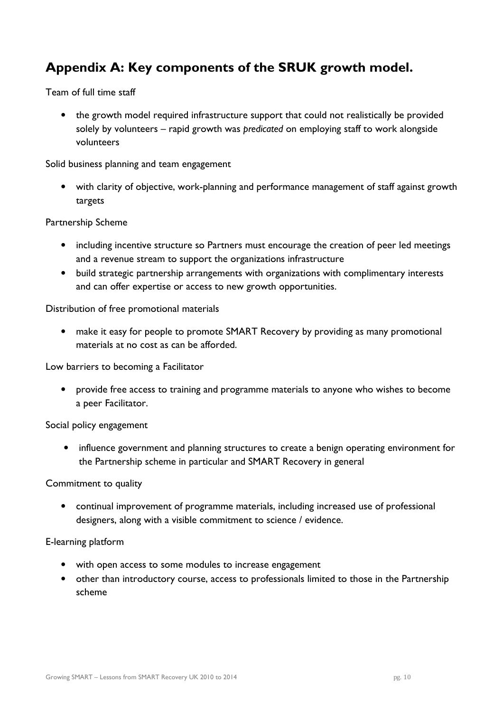# Appendix A: Key components of the SRUK growth model.

Team of full time staff

• the growth model required infrastructure support that could not realistically be provided solely by volunteers – rapid growth was predicated on employing staff to work alongside volunteers

Solid business planning and team engagement

• with clarity of objective, work-planning and performance management of staff against growth targets

#### Partnership Scheme

- including incentive structure so Partners must encourage the creation of peer led meetings and a revenue stream to support the organizations infrastructure
- build strategic partnership arrangements with organizations with complimentary interests and can offer expertise or access to new growth opportunities.

### Distribution of free promotional materials

• make it easy for people to promote SMART Recovery by providing as many promotional materials at no cost as can be afforded.

Low barriers to becoming a Facilitator

• provide free access to training and programme materials to anyone who wishes to become a peer Facilitator.

Social policy engagement

• influence government and planning structures to create a benign operating environment for the Partnership scheme in particular and SMART Recovery in general

#### Commitment to quality

• continual improvement of programme materials, including increased use of professional designers, along with a visible commitment to science / evidence.

#### E-learning platform

- with open access to some modules to increase engagement
- other than introductory course, access to professionals limited to those in the Partnership scheme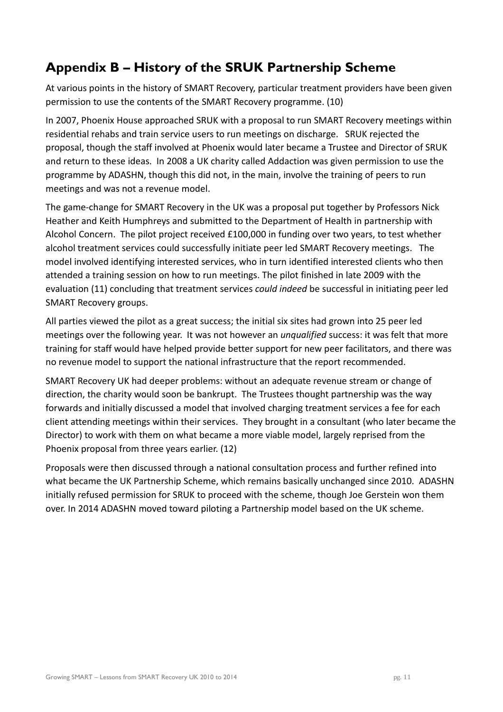# Appendix B – History of the SRUK Partnership Scheme

At various points in the history of SMART Recovery, particular treatment providers have been given permission to use the contents of the SMART Recovery programme. (10)

In 2007, Phoenix House approached SRUK with a proposal to run SMART Recovery meetings within residential rehabs and train service users to run meetings on discharge. SRUK rejected the proposal, though the staff involved at Phoenix would later became a Trustee and Director of SRUK and return to these ideas. In 2008 a UK charity called Addaction was given permission to use the programme by ADASHN, though this did not, in the main, involve the training of peers to run meetings and was not a revenue model.

The game-change for SMART Recovery in the UK was a proposal put together by Professors Nick Heather and Keith Humphreys and submitted to the Department of Health in partnership with Alcohol Concern. The pilot project received £100,000 in funding over two years, to test whether alcohol treatment services could successfully initiate peer led SMART Recovery meetings. The model involved identifying interested services, who in turn identified interested clients who then attended a training session on how to run meetings. The pilot finished in late 2009 with the evaluation (11) concluding that treatment services could indeed be successful in initiating peer led SMART Recovery groups.

All parties viewed the pilot as a great success; the initial six sites had grown into 25 peer led meetings over the following year. It was not however an *unqualified* success: it was felt that more training for staff would have helped provide better support for new peer facilitators, and there was no revenue model to support the national infrastructure that the report recommended.

SMART Recovery UK had deeper problems: without an adequate revenue stream or change of direction, the charity would soon be bankrupt. The Trustees thought partnership was the way forwards and initially discussed a model that involved charging treatment services a fee for each client attending meetings within their services. They brought in a consultant (who later became the Director) to work with them on what became a more viable model, largely reprised from the Phoenix proposal from three years earlier. (12)

Proposals were then discussed through a national consultation process and further refined into what became the UK Partnership Scheme, which remains basically unchanged since 2010. ADASHN initially refused permission for SRUK to proceed with the scheme, though Joe Gerstein won them over. In 2014 ADASHN moved toward piloting a Partnership model based on the UK scheme.